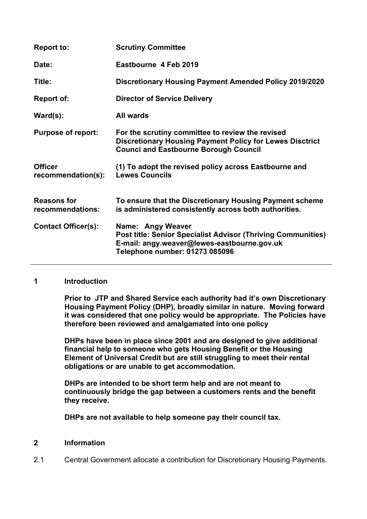| <b>Report to:</b>                      | <b>Scrutiny Committee</b>                                                                                                                                                 |
|----------------------------------------|---------------------------------------------------------------------------------------------------------------------------------------------------------------------------|
| Date:                                  | Eastbourne 4 Feb 2019                                                                                                                                                     |
| Title:                                 | <b>Discretionary Housing Payment Amended Policy 2019/2020</b>                                                                                                             |
| Report of:                             | <b>Director of Service Delivery</b>                                                                                                                                       |
| $\textsf{Ward}(s)$ :                   | <b>All wards</b>                                                                                                                                                          |
| <b>Purpose of report:</b>              | For the scrutiny committee to review the revised<br><b>Discretionary Housing Payment Policy for Lewes Disctrict</b><br><b>Counci and Eastbourne Borough Council</b>       |
| <b>Officer</b><br>recommendation(s):   | (1) To adopt the revised policy across Eastbourne and<br><b>Lewes Councils</b>                                                                                            |
| <b>Reasons for</b><br>recommendations: | To ensure that the Discretionary Housing Payment scheme<br>is administered consistently across both authorities.                                                          |
| <b>Contact Officer(s):</b>             | Name: Angy Weaver<br><b>Post title: Senior Specialist Advisor (Thriving Communities)</b><br>E-mail: angy.weaver@lewes-eastbourne.gov.uk<br>Telephone number: 01273 085096 |

#### **1 Introduction**

**Prior to JTP and Shared Service each authority had it's own Discretionary Housing Payment Policy (DHP), broadly similar in nature. Moving forward it was considered that one policy would be appropriate. The Policies have therefore been reviewed and amalgamated into one policy**

**DHPs have been in place since 2001 and are designed to give additional financial help to someone who gets Housing Benefit or the Housing Element of Universal Credit but are still struggling to meet their rental obligations or are unable to get accommodation.**

**DHPs are intended to be short term help and are not meant to continuously bridge the gap between a customers rents and the benefit they receive.** 

**DHPs are not available to help someone pay their council tax.**

## **2 Information**

2.1 Central Government allocate a contribution for Discretionary Housing Payments.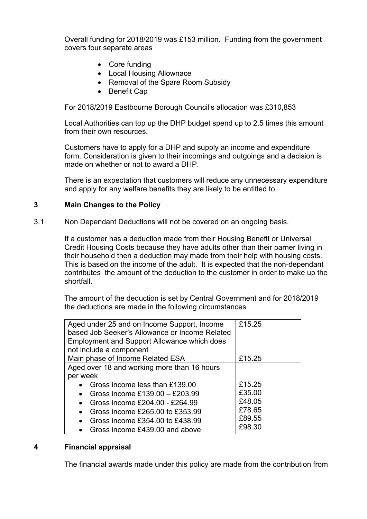Overall funding for 2018/2019 was £153 million. Funding from the government covers four separate areas

- Core funding
- Local Housing Allownace
- Removal of the Spare Room Subsidy
- Benefit Cap

For 2018/2019 Eastbourne Borough Council's allocation was £310,853

Local Authorities can top up the DHP budget spend up to 2.5 times this amount from their own resources.

Customers have to apply for a DHP and supply an income and expenditure form. Consideration is given to their incomings and outgoings and a decision is made on whether or not to award a DHP.

There is an expectation that customers will reduce any unnecessary expenditure and apply for any welfare benefits they are likely to be entitled to.

### **3 Main Changes to the Policy**

3.1 Non Dependant Deductions will not be covered on an ongoing basis.

If a customer has a deduction made from their Housing Benefit or Universal Credit Housing Costs because they have adults other than their parner living in their household then a deduction may made from their help with housing costs. This is based on the income of the adult. It is expected that the non-dependant contributes the amount of the deduction to the customer in order to make up the shortfall.

The amount of the deduction is set by Central Government and for 2018/2019 the deductions are made in the following circumstances

| Aged under 25 and on Income Support, Income<br>based Job Seeker's Allowance or Income Related | £15.25 |
|-----------------------------------------------------------------------------------------------|--------|
| <b>Employment and Support Allowance which does</b>                                            |        |
| not include a component                                                                       |        |
| Main phase of Income Related ESA                                                              | £15.25 |
| Aged over 18 and working more than 16 hours                                                   |        |
| per week                                                                                      |        |
| Gross income less than £139.00                                                                | £15.25 |
| Gross income £139.00 - £203.99                                                                | £35.00 |
| Gross income £204.00 - £264.99                                                                | £48.05 |
| Gross income £265,00 to £353,99                                                               | £78.65 |
| Gross income £354,00 to £438.99                                                               | £89.55 |
| Gross income £439.00 and above                                                                | £98.30 |
|                                                                                               |        |

#### **4 Financial appraisal**

The financial awards made under this policy are made from the contribution from